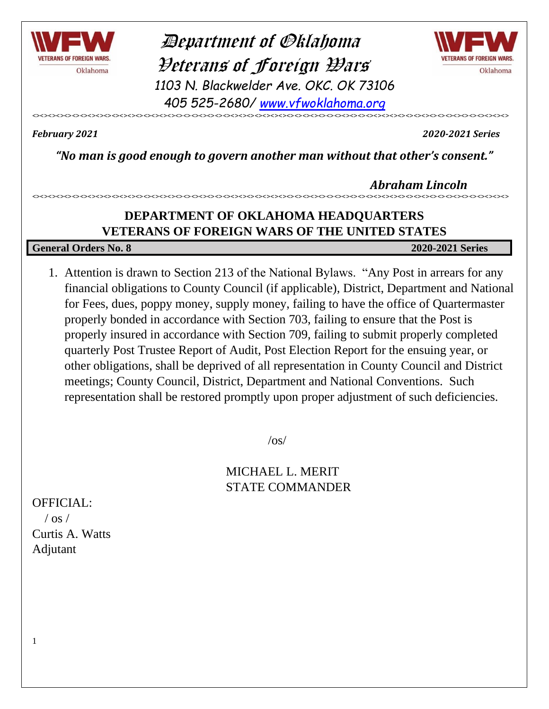

 Department of Oklahoma Veterans of Foreign Wars *1103 N. Blackwelder Ave. OKC. OK 73106 405 525-2680/ [www.vfwoklahoma.org](http://www.vfwoklahoma.org/)*



<><><><><><><><><><><><><><><><><><><><><><><><><><><><><><><><><><><><><><><><><><><><><><><><><><><><><><><><><><><><>

*February 2021 2020-2021 Series*

*"No man is good enough to govern another man without that other's consent."*

 *Abraham Lincoln* <><><><><><><><><><><><><><><><><><><><><><><><><><><><><><><><><><><><><><><><><><><><><><><><><><><><><><><><><><><><>

### **DEPARTMENT OF OKLAHOMA HEADQUARTERS VETERANS OF FOREIGN WARS OF THE UNITED STATES**

**General Orders No. 8 2020-2021 Series**

1. Attention is drawn to Section 213 of the National Bylaws. "Any Post in arrears for any financial obligations to County Council (if applicable), District, Department and National for Fees, dues, poppy money, supply money, failing to have the office of Quartermaster properly bonded in accordance with Section 703, failing to ensure that the Post is properly insured in accordance with Section 709, failing to submit properly completed quarterly Post Trustee Report of Audit, Post Election Report for the ensuing year, or other obligations, shall be deprived of all representation in County Council and District meetings; County Council, District, Department and National Conventions. Such representation shall be restored promptly upon proper adjustment of such deficiencies.

 $\log$ 

MICHAEL L. MERIT STATE COMMANDER

OFFICIAL:  $\sqrt{$  os  $/$ 

1

Curtis A. Watts Adjutant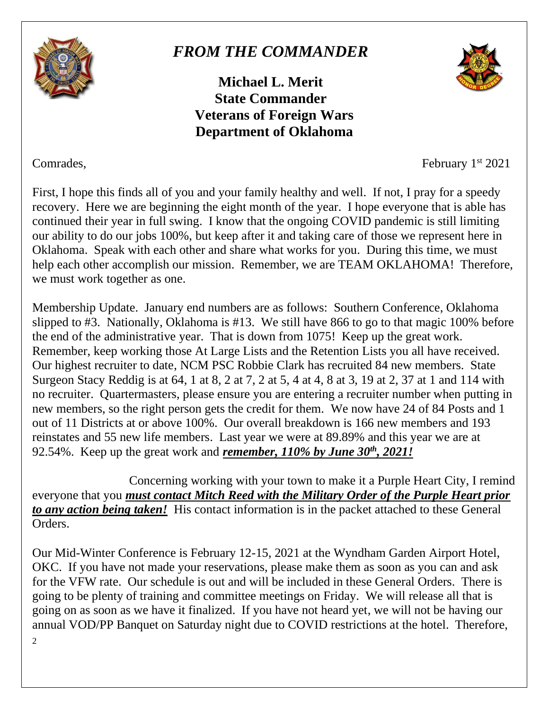

## *FROM THE COMMANDER*

**Michael L. Merit State Commander Veterans of Foreign Wars Department of Oklahoma**



Comrades, February 1 st 2021

First, I hope this finds all of you and your family healthy and well. If not, I pray for a speedy recovery. Here we are beginning the eight month of the year. I hope everyone that is able has continued their year in full swing. I know that the ongoing COVID pandemic is still limiting our ability to do our jobs 100%, but keep after it and taking care of those we represent here in Oklahoma. Speak with each other and share what works for you. During this time, we must help each other accomplish our mission. Remember, we are TEAM OKLAHOMA! Therefore, we must work together as one.

Membership Update. January end numbers are as follows: Southern Conference, Oklahoma slipped to #3. Nationally, Oklahoma is #13. We still have 866 to go to that magic 100% before the end of the administrative year. That is down from 1075! Keep up the great work. Remember, keep working those At Large Lists and the Retention Lists you all have received. Our highest recruiter to date, NCM PSC Robbie Clark has recruited 84 new members. State Surgeon Stacy Reddig is at 64, 1 at 8, 2 at 7, 2 at 5, 4 at 4, 8 at 3, 19 at 2, 37 at 1 and 114 with no recruiter. Quartermasters, please ensure you are entering a recruiter number when putting in new members, so the right person gets the credit for them. We now have 24 of 84 Posts and 1 out of 11 Districts at or above 100%. Our overall breakdown is 166 new members and 193 reinstates and 55 new life members. Last year we were at 89.89% and this year we are at 92.54%. Keep up the great work and *remember, 110% by June 30th, 2021!*

Concerning working with your town to make it a Purple Heart City, I remind everyone that you *must contact Mitch Reed with the Military Order of the Purple Heart prior to any action being taken!* His contact information is in the packet attached to these General Orders.

Our Mid-Winter Conference is February 12-15, 2021 at the Wyndham Garden Airport Hotel, OKC. If you have not made your reservations, please make them as soon as you can and ask for the VFW rate. Our schedule is out and will be included in these General Orders. There is going to be plenty of training and committee meetings on Friday. We will release all that is going on as soon as we have it finalized. If you have not heard yet, we will not be having our annual VOD/PP Banquet on Saturday night due to COVID restrictions at the hotel. Therefore,

 $\overline{2}$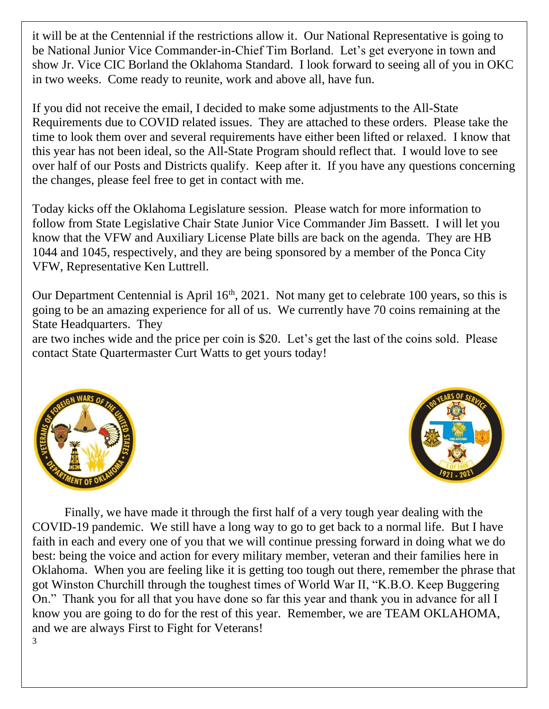it will be at the Centennial if the restrictions allow it. Our National Representative is going to be National Junior Vice Commander-in-Chief Tim Borland. Let's get everyone in town and show Jr. Vice CIC Borland the Oklahoma Standard. I look forward to seeing all of you in OKC in two weeks. Come ready to reunite, work and above all, have fun.

If you did not receive the email, I decided to make some adjustments to the All-State Requirements due to COVID related issues. They are attached to these orders. Please take the time to look them over and several requirements have either been lifted or relaxed. I know that this year has not been ideal, so the All-State Program should reflect that. I would love to see over half of our Posts and Districts qualify. Keep after it. If you have any questions concerning the changes, please feel free to get in contact with me.

Today kicks off the Oklahoma Legislature session. Please watch for more information to follow from State Legislative Chair State Junior Vice Commander Jim Bassett. I will let you know that the VFW and Auxiliary License Plate bills are back on the agenda. They are HB 1044 and 1045, respectively, and they are being sponsored by a member of the Ponca City VFW, Representative Ken Luttrell.

Our Department Centennial is April 16<sup>th</sup>, 2021. Not many get to celebrate 100 years, so this is going to be an amazing experience for all of us. We currently have 70 coins remaining at the State Headquarters. They

are two inches wide and the price per coin is \$20. Let's get the last of the coins sold. Please contact State Quartermaster Curt Watts to get yours today!





3 Finally, we have made it through the first half of a very tough year dealing with the COVID-19 pandemic. We still have a long way to go to get back to a normal life. But I have faith in each and every one of you that we will continue pressing forward in doing what we do best: being the voice and action for every military member, veteran and their families here in Oklahoma. When you are feeling like it is getting too tough out there, remember the phrase that got Winston Churchill through the toughest times of World War II, "K.B.O. Keep Buggering On." Thank you for all that you have done so far this year and thank you in advance for all I know you are going to do for the rest of this year. Remember, we are TEAM OKLAHOMA, and we are always First to Fight for Veterans!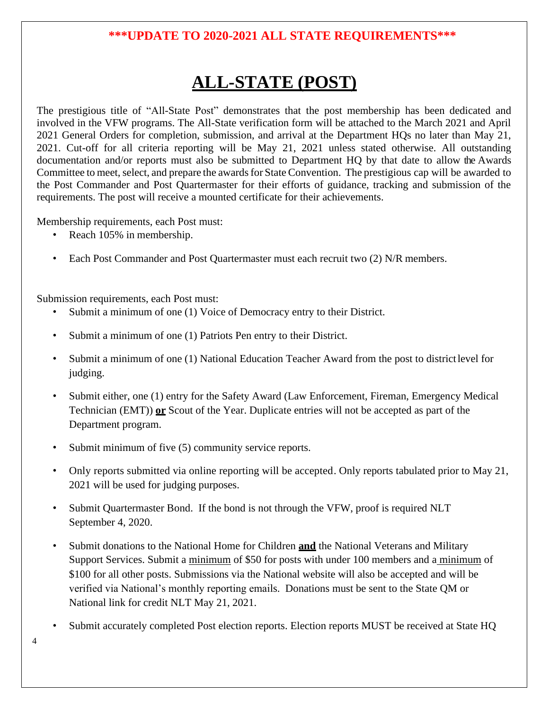#### **\*\*\*UPDATE TO 2020-2021 ALL STATE REQUIREMENTS\*\*\***

# **ALL-STATE (POST)**

The prestigious title of "All-State Post" demonstrates that the post membership has been dedicated and involved in the VFW programs. The All-State verification form will be attached to the March 2021 and April 2021 General Orders for completion, submission, and arrival at the Department HQs no later than May 21, 2021. Cut-off for all criteria reporting will be May 21, 2021 unless stated otherwise. All outstanding documentation and/or reports must also be submitted to Department HQ by that date to allow the Awards Committee to meet, select, and prepare the awards for State Convention. The prestigious cap will be awarded to the Post Commander and Post Quartermaster for their efforts of guidance, tracking and submission of the requirements. The post will receive a mounted certificate for their achievements.

Membership requirements, each Post must:

- Reach 105% in membership.
- Each Post Commander and Post Quartermaster must each recruit two (2) N/R members.

Submission requirements, each Post must:

- Submit a minimum of one (1) Voice of Democracy entry to their District.
- Submit a minimum of one (1) Patriots Pen entry to their District.
- Submit a minimum of one (1) National Education Teacher Award from the post to districtlevel for judging.
- Submit either, one (1) entry for the Safety Award (Law Enforcement, Fireman, Emergency Medical Technician (EMT)) **or** Scout of the Year. Duplicate entries will not be accepted as part of the Department program.
- Submit minimum of five (5) community service reports.
- Only reports submitted via online reporting will be accepted. Only reports tabulated prior to May 21, 2021 will be used for judging purposes.
- Submit Quartermaster Bond. If the bond is not through the VFW, proof is required NLT September 4, 2020.
- Submit donations to the National Home for Children **and** the National Veterans and Military Support Services. Submit a minimum of \$50 for posts with under 100 members and a minimum of \$100 for all other posts. Submissions via the National website will also be accepted and will be verified via National's monthly reporting emails. Donations must be sent to the State QM or National link for credit NLT May 21, 2021.
- Submit accurately completed Post election reports. Election reports MUST be received at State HQ

4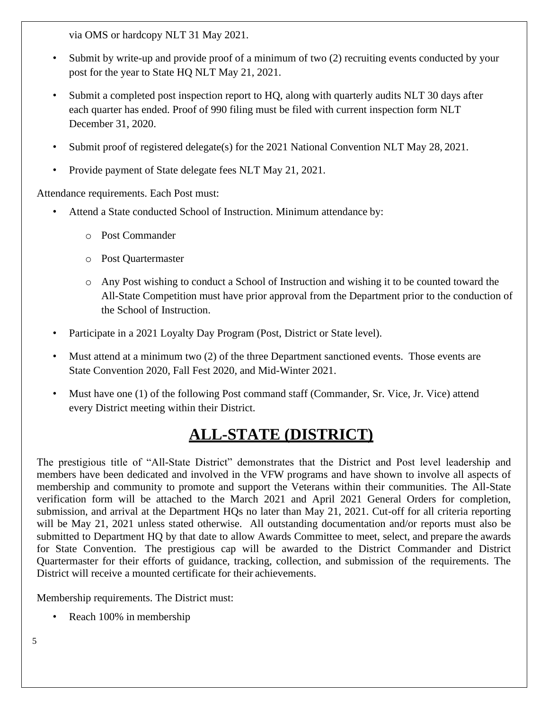via OMS or hardcopy NLT 31 May 2021.

- Submit by write-up and provide proof of a minimum of two (2) recruiting events conducted by your post for the year to State HQ NLT May 21, 2021.
- Submit a completed post inspection report to HQ, along with quarterly audits NLT 30 days after each quarter has ended. Proof of 990 filing must be filed with current inspection form NLT December 31, 2020.
- Submit proof of registered delegate(s) for the 2021 National Convention NLT May 28, 2021.
- Provide payment of State delegate fees NLT May 21, 2021.

Attendance requirements. Each Post must:

- Attend a State conducted School of Instruction. Minimum attendance by:
	- o Post Commander
	- o Post Quartermaster
	- o Any Post wishing to conduct a School of Instruction and wishing it to be counted toward the All-State Competition must have prior approval from the Department prior to the conduction of the School of Instruction.
- Participate in a 2021 Loyalty Day Program (Post, District or State level).
- Must attend at a minimum two (2) of the three Department sanctioned events. Those events are State Convention 2020, Fall Fest 2020, and Mid-Winter 2021.
- Must have one (1) of the following Post command staff (Commander, Sr. Vice, Jr. Vice) attend every District meeting within their District.

## **ALL-STATE (DISTRICT)**

The prestigious title of "All-State District" demonstrates that the District and Post level leadership and members have been dedicated and involved in the VFW programs and have shown to involve all aspects of membership and community to promote and support the Veterans within their communities. The All-State verification form will be attached to the March 2021 and April 2021 General Orders for completion, submission, and arrival at the Department HQs no later than May 21, 2021. Cut-off for all criteria reporting will be May 21, 2021 unless stated otherwise. All outstanding documentation and/or reports must also be submitted to Department HQ by that date to allow Awards Committee to meet, select, and prepare the awards for State Convention. The prestigious cap will be awarded to the District Commander and District Quartermaster for their efforts of guidance, tracking, collection, and submission of the requirements. The District will receive a mounted certificate for their achievements.

Membership requirements. The District must:

• Reach 100% in membership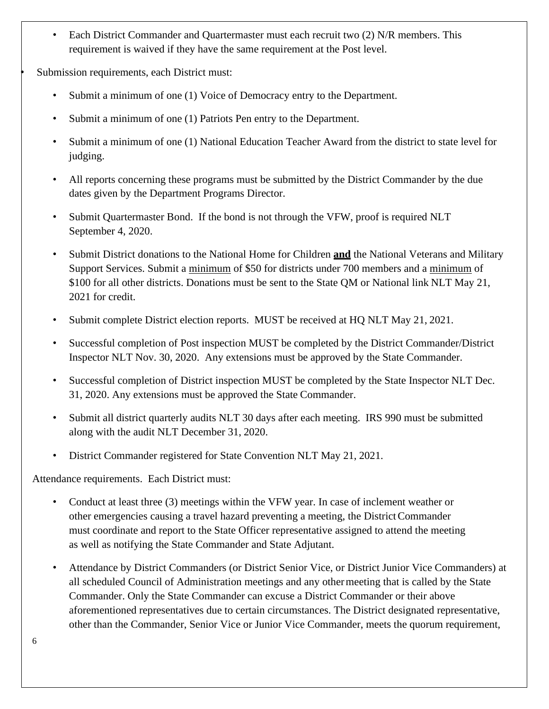• Each District Commander and Quartermaster must each recruit two (2) N/R members. This requirement is waived if they have the same requirement at the Post level.

Submission requirements, each District must:

- Submit a minimum of one (1) Voice of Democracy entry to the Department.
- Submit a minimum of one (1) Patriots Pen entry to the Department.
- Submit a minimum of one (1) National Education Teacher Award from the district to state level for judging.
- All reports concerning these programs must be submitted by the District Commander by the due dates given by the Department Programs Director.
- Submit Quartermaster Bond. If the bond is not through the VFW, proof is required NLT September 4, 2020.
- Submit District donations to the National Home for Children **and** the National Veterans and Military Support Services. Submit a minimum of \$50 for districts under 700 members and a minimum of \$100 for all other districts. Donations must be sent to the State QM or National link NLT May 21, 2021 for credit.
- Submit complete District election reports. MUST be received at HQ NLT May 21, 2021.
- Successful completion of Post inspection MUST be completed by the District Commander/District Inspector NLT Nov. 30, 2020. Any extensions must be approved by the State Commander.
- Successful completion of District inspection MUST be completed by the State Inspector NLT Dec. 31, 2020. Any extensions must be approved the State Commander.
- Submit all district quarterly audits NLT 30 days after each meeting. IRS 990 must be submitted along with the audit NLT December 31, 2020.
- District Commander registered for State Convention NLT May 21, 2021.

Attendance requirements. Each District must:

- Conduct at least three (3) meetings within the VFW year. In case of inclement weather or other emergencies causing a travel hazard preventing a meeting, the DistrictCommander must coordinate and report to the State Officer representative assigned to attend the meeting as well as notifying the State Commander and State Adjutant.
- Attendance by District Commanders (or District Senior Vice, or District Junior Vice Commanders) at all scheduled Council of Administration meetings and any othermeeting that is called by the State Commander. Only the State Commander can excuse a District Commander or their above aforementioned representatives due to certain circumstances. The District designated representative, other than the Commander, Senior Vice or Junior Vice Commander, meets the quorum requirement,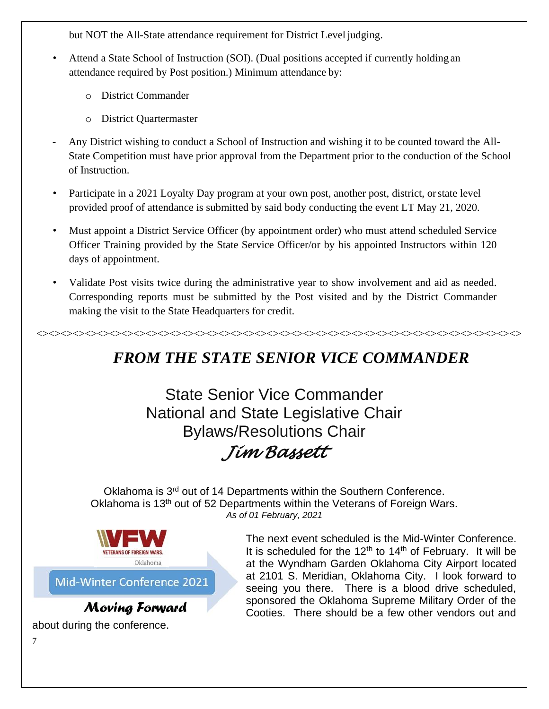but NOT the All-State attendance requirement for District Level judging.

- Attend a State School of Instruction (SOI). (Dual positions accepted if currently holding an attendance required by Post position.) Minimum attendance by:
	- o District Commander
	- o District Quartermaster
- Any District wishing to conduct a School of Instruction and wishing it to be counted toward the All-State Competition must have prior approval from the Department prior to the conduction of the School of Instruction.
- Participate in a 2021 Loyalty Day program at your own post, another post, district, orstate level provided proof of attendance is submitted by said body conducting the event LT May 21, 2020.
- Must appoint a District Service Officer (by appointment order) who must attend scheduled Service Officer Training provided by the State Service Officer/or by his appointed Instructors within 120 days of appointment.
- Validate Post visits twice during the administrative year to show involvement and aid as needed. Corresponding reports must be submitted by the Post visited and by the District Commander making the visit to the State Headquarters for credit.

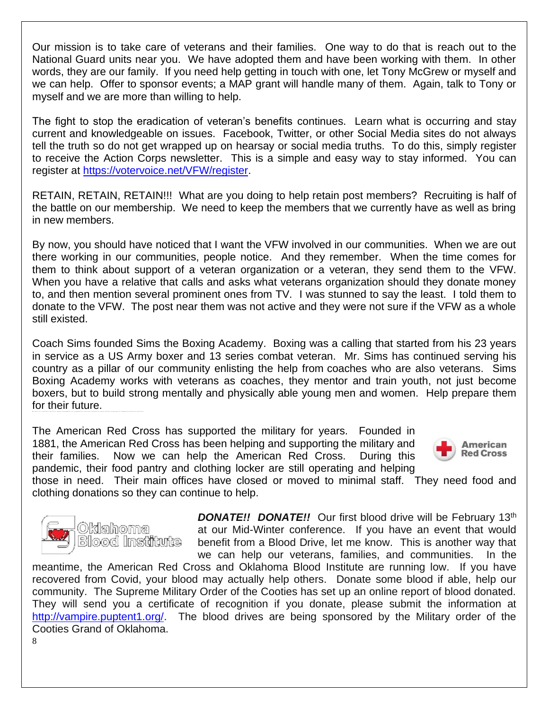Our mission is to take care of veterans and their families. One way to do that is reach out to the National Guard units near you. We have adopted them and have been working with them. In other words, they are our family. If you need help getting in touch with one, let Tony McGrew or myself and we can help. Offer to sponsor events; a MAP grant will handle many of them. Again, talk to Tony or myself and we are more than willing to help.

The fight to stop the eradication of veteran's benefits continues. Learn what is occurring and stay current and knowledgeable on issues. Facebook, Twitter, or other Social Media sites do not always tell the truth so do not get wrapped up on hearsay or social media truths. To do this, simply register to receive the Action Corps newsletter. This is a simple and easy way to stay informed. You can register at [https://votervoice.net/VFW/register.](https://votervoice.net/VFW/register)

RETAIN, RETAIN, RETAIN!!! What are you doing to help retain post members? Recruiting is half of the battle on our membership. We need to keep the members that we currently have as well as bring in new members.

By now, you should have noticed that I want the VFW involved in our communities. When we are out there working in our communities, people notice. And they remember. When the time comes for them to think about support of a veteran organization or a veteran, they send them to the VFW. When you have a relative that calls and asks what veterans organization should they donate money to, and then mention several prominent ones from TV. I was stunned to say the least. I told them to donate to the VFW. The post near them was not active and they were not sure if the VFW as a whole still existed.

Coach Sims founded Sims the Boxing Academy. Boxing was a calling that started from his 23 years in service as a US Army boxer and 13 series combat veteran. Mr. Sims has continued serving his country as a pillar of our community enlisting the help from coaches who are also veterans. Sims Boxing Academy works with veterans as coaches, they mentor and train youth, not just become boxers, but to build strong mentally and physically able young men and women. Help prepare them for their future. By MEATT AT COAMING A BASTERY CRAAGE CROSSARAGE ANY CARGANISTICS WITH ANY COANYWETCH VALUE WESTERD ACADEMAN & RAW MANUTY RANGASTA BACTERING

The American Red Cross has supported the military for years. Founded in 1881, the American Red Cross has been helping and supporting the military and their families. Now we can help the American Red Cross. During this pandemic, their food pantry and clothing locker are still operating and helping



those in need. Their main offices have closed or moved to minimal staff. They need food and clothing donations so they can continue to help.



**DONATE!! DONATE!!** Our first blood drive will be February 13<sup>th</sup> at our Mid-Winter conference. If you have an event that would benefit from a Blood Drive, let me know. This is another way that we can help our veterans, families, and communities. In the

meantime, the American Red Cross and Oklahoma Blood Institute are running low. If you have recovered from Covid, your blood may actually help others. Donate some blood if able, help our community. The Supreme Military Order of the Cooties has set up an online report of blood donated. They will send you a certificate of recognition if you donate, please submit the information at [http://vampire.puptent1.org/.](http://vampire.puptent1.org/) The blood drives are being sponsored by the Military order of the Cooties Grand of Oklahoma.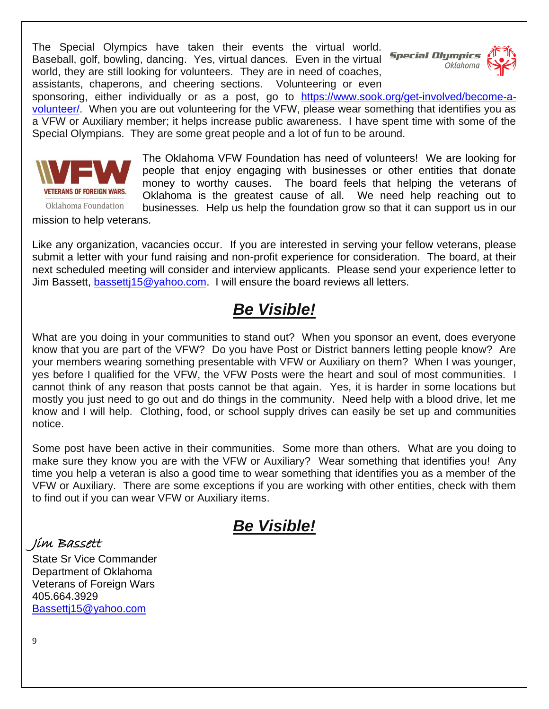The Special Olympics have taken their events the virtual world. Baseball, golf, bowling, dancing. Yes, virtual dances. Even in the virtual **Special Olympics** world, they are still looking for volunteers. They are in need of coaches, assistants, chaperons, and cheering sections. Volunteering or even



sponsoring, either individually or as a post, go to [https://www.sook.org/get-involved/become-a](https://www.sook.org/get-involved/become-a-volunteer/)[volunteer/.](https://www.sook.org/get-involved/become-a-volunteer/) When you are out volunteering for the VFW, please wear something that identifies you as a VFW or Auxiliary member; it helps increase public awareness. I have spent time with some of the Special Olympians. They are some great people and a lot of fun to be around.



The Oklahoma VFW Foundation has need of volunteers! We are looking for people that enjoy engaging with businesses or other entities that donate money to worthy causes. The board feels that helping the veterans of Oklahoma is the greatest cause of all. We need help reaching out to businesses. Help us help the foundation grow so that it can support us in our

mission to help veterans.

Like any organization, vacancies occur. If you are interested in serving your fellow veterans, please submit a letter with your fund raising and non-profit experience for consideration. The board, at their next scheduled meeting will consider and interview applicants. Please send your experience letter to Jim Bassett, [bassettj15@yahoo.com.](mailto:bassettj15@yahoo.com) I will ensure the board reviews all letters.

## *Be Visible!*

What are you doing in your communities to stand out? When you sponsor an event, does everyone know that you are part of the VFW? Do you have Post or District banners letting people know? Are your members wearing something presentable with VFW or Auxiliary on them? When I was younger, yes before I qualified for the VFW, the VFW Posts were the heart and soul of most communities. I cannot think of any reason that posts cannot be that again. Yes, it is harder in some locations but mostly you just need to go out and do things in the community. Need help with a blood drive, let me know and I will help. Clothing, food, or school supply drives can easily be set up and communities notice.

Some post have been active in their communities. Some more than others. What are you doing to make sure they know you are with the VFW or Auxiliary? Wear something that identifies you! Any time you help a veteran is also a good time to wear something that identifies you as a member of the VFW or Auxiliary. There are some exceptions if you are working with other entities, check with them to find out if you can wear VFW or Auxiliary items.

## *Be Visible!*

Jim Bassett

State Sr Vice Commander Department of Oklahoma Veterans of Foreign Wars 405.664.3929 [Bassettj15@yahoo.com](mailto:Bassettj15@yahoo.com)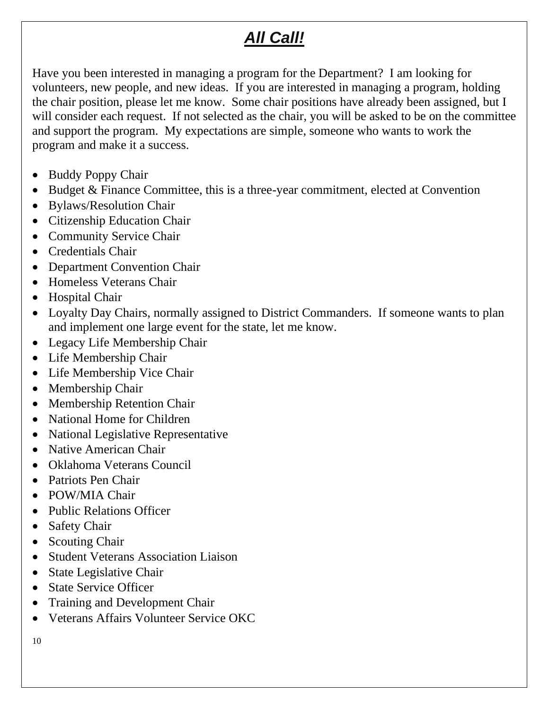# *All Call!*

Have you been interested in managing a program for the Department? I am looking for volunteers, new people, and new ideas. If you are interested in managing a program, holding the chair position, please let me know. Some chair positions have already been assigned, but I will consider each request. If not selected as the chair, you will be asked to be on the committee and support the program. My expectations are simple, someone who wants to work the program and make it a success.

- Buddy Poppy Chair
- Budget & Finance Committee, this is a three-year commitment, elected at Convention
- Bylaws/Resolution Chair
- Citizenship Education Chair
- Community Service Chair
- Credentials Chair
- Department Convention Chair
- Homeless Veterans Chair
- Hospital Chair
- Loyalty Day Chairs, normally assigned to District Commanders. If some one wants to plan and implement one large event for the state, let me know.
- Legacy Life Membership Chair
- Life Membership Chair
- Life Membership Vice Chair
- Membership Chair
- Membership Retention Chair
- National Home for Children
- National Legislative Representative
- Native American Chair
- Oklahoma Veterans Council
- Patriots Pen Chair
- POW/MIA Chair
- Public Relations Officer
- Safety Chair
- Scouting Chair
- Student Veterans Association Liaison
- State Legislative Chair
- State Service Officer
- Training and Development Chair
- Veterans Affairs Volunteer Service OKC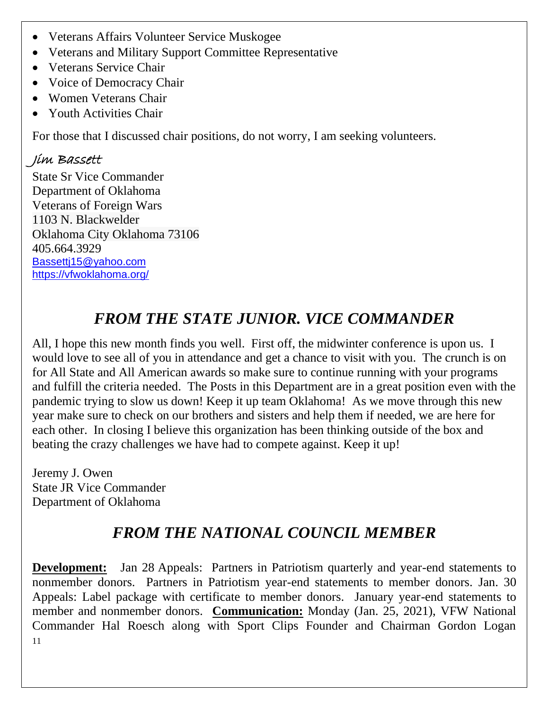- Veterans Affairs Volunteer Service Muskogee
- Veterans and Military Support Committee Representative
- Veterans Service Chair
- Voice of Democracy Chair
- Women Veterans Chair
- Youth Activities Chair

For those that I discussed chair positions, do not worry, I am seeking volunteers.

## Jim Bassett

State Sr Vice Commander Department of Oklahoma Veterans of Foreign Wars 1103 N. Blackwelder Oklahoma City Oklahoma 73106 405.664.3929 [Bassettj15@yahoo.com](mailto:Bassettj15@yahoo.com) <https://vfwoklahoma.org/>

# *FROM THE STATE JUNIOR. VICE COMMANDER*

All, I hope this new month finds you well. First off, the midwinter conference is upon us. I would love to see all of you in attendance and get a chance to visit with you. The crunch is on for All State and All American awards so make sure to continue running with your programs and fulfill the criteria needed. The Posts in this Department are in a great position even with the pandemic trying to slow us down! Keep it up team Oklahoma! As we move through this new year make sure to check on our brothers and sisters and help them if needed, we are here for each other. In closing I believe this organization has been thinking outside of the box and beating the crazy challenges we have had to compete against. Keep it up!

Jeremy J. Owen State JR Vice Commander Department of Oklahoma

# *FROM THE NATIONAL COUNCIL MEMBER*

11 **Development:** Jan 28 Appeals: Partners in Patriotism quarterly and year-end statements to nonmember donors. Partners in Patriotism year-end statements to member donors. Jan. 30 Appeals: Label package with certificate to member donors. January year-end statements to member and nonmember donors. **Communication:** Monday (Jan. 25, 2021), VFW National Commander Hal Roesch along with Sport Clips Founder and Chairman Gordon Logan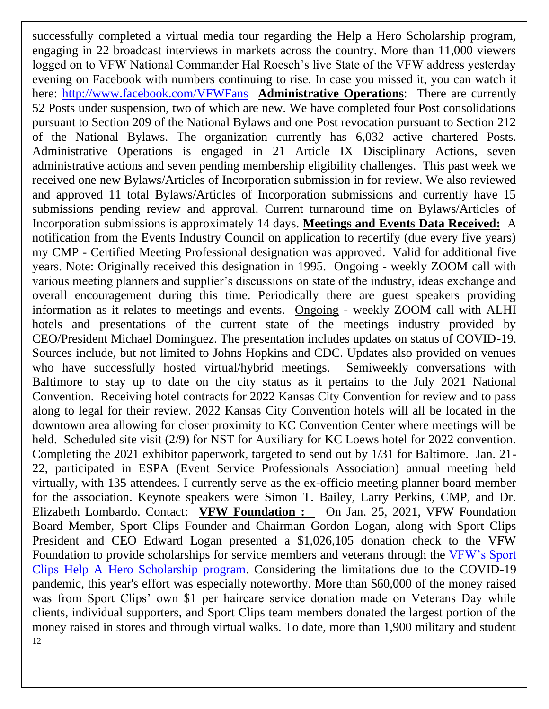12 successfully completed a virtual media tour regarding the Help a Hero Scholarship program, engaging in 22 broadcast interviews in markets across the country. More than 11,000 viewers logged on to VFW National Commander Hal Roesch's live State of the VFW address yesterday evening on Facebook with numbers continuing to rise. In case you missed it, you can watch it here:<http://www.facebook.com/VFWFans> **Administrative Operations**: There are currently 52 Posts under suspension, two of which are new. We have completed four Post consolidations pursuant to Section 209 of the National Bylaws and one Post revocation pursuant to Section 212 of the National Bylaws. The organization currently has 6,032 active chartered Posts. Administrative Operations is engaged in 21 Article IX Disciplinary Actions, seven administrative actions and seven pending membership eligibility challenges. This past week we received one new Bylaws/Articles of Incorporation submission in for review. We also reviewed and approved 11 total Bylaws/Articles of Incorporation submissions and currently have 15 submissions pending review and approval. Current turnaround time on Bylaws/Articles of Incorporation submissions is approximately 14 days. **Meetings and Events Data Received:** A notification from the Events Industry Council on application to recertify (due every five years) my CMP - Certified Meeting Professional designation was approved. Valid for additional five years. Note: Originally received this designation in 1995. Ongoing - weekly ZOOM call with various meeting planners and supplier's discussions on state of the industry, ideas exchange and overall encouragement during this time. Periodically there are guest speakers providing information as it relates to meetings and events. Ongoing - weekly ZOOM call with ALHI hotels and presentations of the current state of the meetings industry provided by CEO/President Michael Dominguez. The presentation includes updates on status of COVID-19. Sources include, but not limited to Johns Hopkins and CDC. Updates also provided on venues who have successfully hosted virtual/hybrid meetings. Semiweekly conversations with Baltimore to stay up to date on the city status as it pertains to the July 2021 National Convention. Receiving hotel contracts for 2022 Kansas City Convention for review and to pass along to legal for their review. 2022 Kansas City Convention hotels will all be located in the downtown area allowing for closer proximity to KC Convention Center where meetings will be held. Scheduled site visit (2/9) for NST for Auxiliary for KC Loews hotel for 2022 convention. Completing the 2021 exhibitor paperwork, targeted to send out by 1/31 for Baltimore. Jan. 21- 22, participated in ESPA (Event Service Professionals Association) annual meeting held virtually, with 135 attendees. I currently serve as the ex-officio meeting planner board member for the association. Keynote speakers were Simon T. Bailey, Larry Perkins, CMP, and Dr. Elizabeth Lombardo. Contact: **VFW Foundation :** On Jan. 25, 2021, VFW Foundation Board Member, Sport Clips Founder and Chairman Gordon Logan, along with Sport Clips President and CEO Edward Logan presented a \$1,026,105 donation check to the VFW Foundation to provide scholarships for service members and veterans through the [VFW's Sport](https://www.sportclips.com/promotions-partnerships/help-a-hero/help-a-hero)  [Clips Help A Hero Scholarship program.](https://www.sportclips.com/promotions-partnerships/help-a-hero/help-a-hero) Considering the limitations due to the COVID-19 pandemic, this year's effort was especially noteworthy. More than \$60,000 of the money raised was from Sport Clips' own \$1 per haircare service donation made on Veterans Day while clients, individual supporters, and Sport Clips team members donated the largest portion of the money raised in stores and through virtual walks. To date, more than 1,900 military and student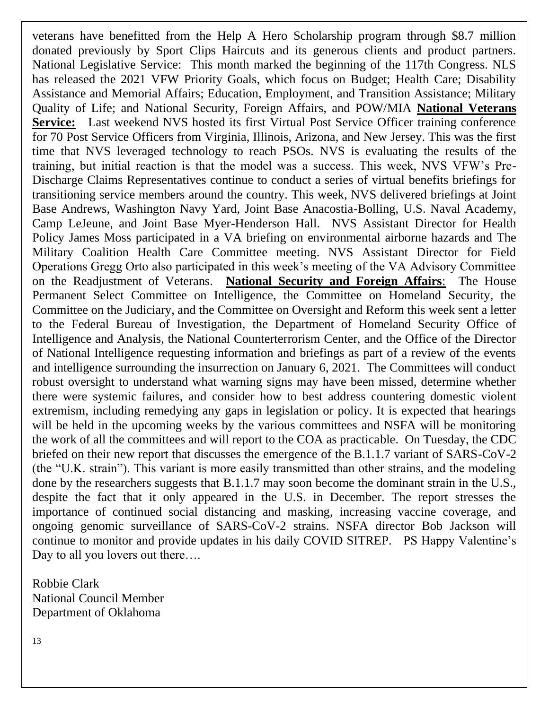veterans have benefitted from the Help A Hero Scholarship program through \$8.7 million donated previously by Sport Clips Haircuts and its generous clients and product partners. National Legislative Service: This month marked the beginning of the 117th Congress. NLS has released the 2021 VFW Priority Goals, which focus on Budget; Health Care; Disability Assistance and Memorial Affairs; Education, Employment, and Transition Assistance; Military Quality of Life; and National Security, Foreign Affairs, and POW/MIA **National Veterans Service:** Last weekend NVS hosted its first Virtual Post Service Officer training conference for 70 Post Service Officers from Virginia, Illinois, Arizona, and New Jersey. This was the first time that NVS leveraged technology to reach PSOs. NVS is evaluating the results of the training, but initial reaction is that the model was a success. This week, NVS VFW's Pre-Discharge Claims Representatives continue to conduct a series of virtual benefits briefings for transitioning service members around the country. This week, NVS delivered briefings at Joint Base Andrews, Washington Navy Yard, Joint Base Anacostia-Bolling, U.S. Naval Academy, Camp LeJeune, and Joint Base Myer-Henderson Hall. NVS Assistant Director for Health Policy James Moss participated in a VA briefing on environmental airborne hazards and The Military Coalition Health Care Committee meeting. NVS Assistant Director for Field Operations Gregg Orto also participated in this week's meeting of the VA Advisory Committee on the Readjustment of Veterans. **National Security and Foreign Affairs**: The House Permanent Select Committee on Intelligence, the Committee on Homeland Security, the Committee on the Judiciary, and the Committee on Oversight and Reform this week sent a letter to the Federal Bureau of Investigation, the Department of Homeland Security Office of Intelligence and Analysis, the National Counterterrorism Center, and the Office of the Director of National Intelligence requesting information and briefings as part of a review of the events and intelligence surrounding the insurrection on January 6, 2021. The Committees will conduct robust oversight to understand what warning signs may have been missed, determine whether there were systemic failures, and consider how to best address countering domestic violent extremism, including remedying any gaps in legislation or policy. It is expected that hearings will be held in the upcoming weeks by the various committees and NSFA will be monitoring the work of all the committees and will report to the COA as practicable. On Tuesday, the CDC briefed on their new report that discusses the emergence of the B.1.1.7 variant of SARS-CoV-2 (the "U.K. strain"). This variant is more easily transmitted than other strains, and the modeling done by the researchers suggests that B.1.1.7 may soon become the dominant strain in the U.S., despite the fact that it only appeared in the U.S. in December. The report stresses the importance of continued social distancing and masking, increasing vaccine coverage, and ongoing genomic surveillance of SARS-CoV-2 strains. NSFA director Bob Jackson will continue to monitor and provide updates in his daily COVID SITREP. PS Happy Valentine's Day to all you lovers out there….

Robbie Clark National Council Member Department of Oklahoma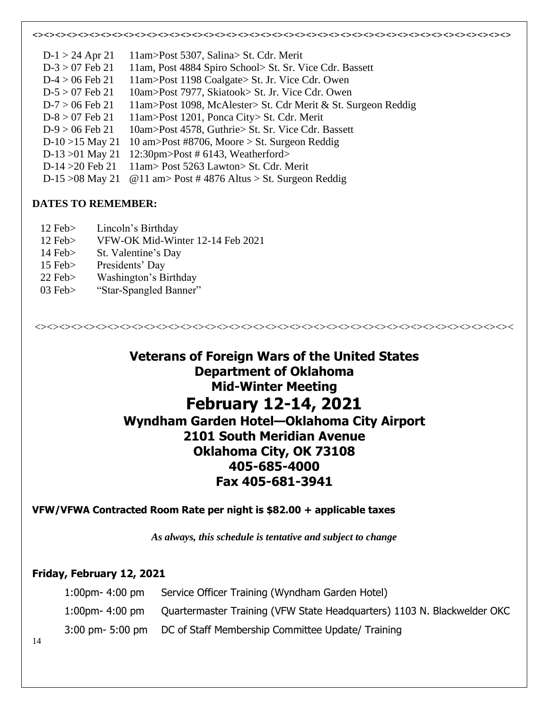<><><><><><><><><><><><><><><><><><><><><><><><><><><><><><><><><><><><><><><><><><>  $D-1 > 24$  Apr 21 11am>Post 5307, Salina> St. Cdr. Merit D-3 > 07 Feb 21 11am, Post 4884 Spiro School> St. Sr. Vice Cdr. Bassett  $D-4 > 06$  Feb 21 11am>Post 1198 Coalgate> St. Jr. Vice Cdr. Owen D-5 > 07 Feb 21 10am>Post 7977, Skiatook> St. Jr. Vice Cdr. Owen D-7 > 06 Feb 21 11am>Post 1098, McAlester> St. Cdr Merit & St. Surgeon Reddig  $D-8 > 07$  Feb 21 11am > Post 1201, Ponca City > St. Cdr. Merit  $D-9 > 06$  Feb 21 10am > Post 4578, Guthrie > St. Sr. Vice Cdr. Bassett D-10 >15 May 21 10 am>Post #8706, Moore > St. Surgeon Reddig D-13 >01 May 21 12:30pm>Post # 6143, Weatherford> D-14 >20 Feb 21 11am> Post 5263 Lawton> St. Cdr. Merit D-15  $>08$  May 21 @ 11 am > Post #4876 Altus > St. Surgeon Reddig

#### **DATES TO REMEMBER:**

- 12 Feb> Lincoln's Birthday
- 12 Feb> VFW-OK Mid-Winter 12-14 Feb 2021
- 14 Feb> St. Valentine's Day
- 15 Feb> Presidents' Day
- 22 Feb> Washington's Birthday
- 03 Feb> "Star-Spangled Banner"

**Veterans of Foreign Wars of the United States Department of Oklahoma Mid-Winter Meeting February 12-14, 2021 Wyndham Garden Hotel—Oklahoma City Airport 2101 South Meridian Avenue Oklahoma City, OK 73108 405-685-4000 Fax 405-681-3941**

<><><><><><><><><><><><><><><><><><><><><><><><><><><><><><><><><><><><><><><><

#### **VFW/VFWA Contracted Room Rate per night is \$82.00 + applicable taxes**

*As always, this schedule is tentative and subject to change*

#### **Friday, February 12, 2021**

| 1:00pm- 4:00 pm | Service Officer Training (Wyndham Garden Hotel)                                           |
|-----------------|-------------------------------------------------------------------------------------------|
|                 | 1:00pm- 4:00 pm   Quartermaster Training (VFW State Headquarters) 1103 N. Blackwelder OKC |
|                 | 3:00 pm- 5:00 pm    DC of Staff Membership Committee Update/ Training                     |

14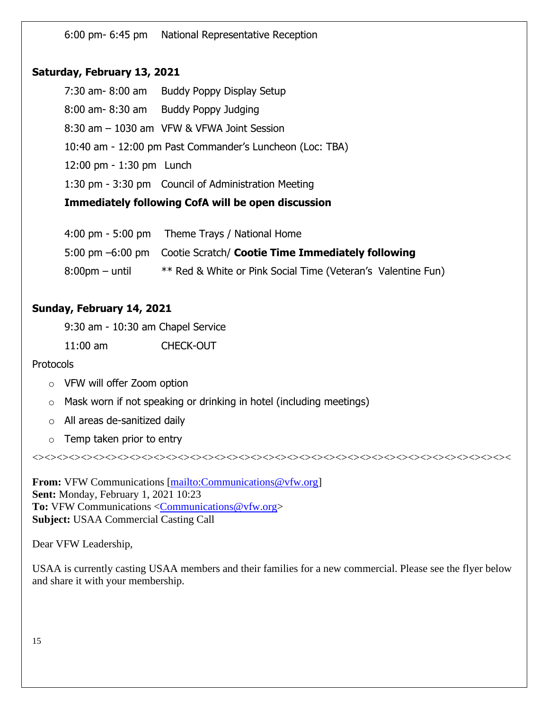6:00 pm- 6:45 pm National Representative Reception

#### **Saturday, February 13, 2021**

7:30 am- 8:00 am Buddy Poppy Display Setup 8:00 am- 8:30 am Buddy Poppy Judging 8:30 am – 1030 am VFW & VFWA Joint Session 10:40 am - 12:00 pm Past Commander's Luncheon (Loc: TBA) 12:00 pm - 1:30 pm Lunch 1:30 pm - 3:30 pm Council of Administration Meeting **Immediately following CofA will be open discussion**

|                   | 4:00 pm - 5:00 pm Theme Trays / National Home                      |
|-------------------|--------------------------------------------------------------------|
|                   | 5:00 pm -6:00 pm Cootie Scratch/ Cootie Time Immediately following |
| $8:00$ pm – until | ** Red & White or Pink Social Time (Veteran's Valentine Fun)       |

#### **Sunday, February 14, 2021**

9:30 am - 10:30 am Chapel Service

11:00 am CHECK-OUT

#### **Protocols**

- o VFW will offer Zoom option
- o Mask worn if not speaking or drinking in hotel (including meetings)
- o All areas de-sanitized daily
- $\circ$  Temp taken prior to entry

**From:** VFW Communications [\[mailto:Communications@vfw.org\]](mailto:Communications@vfw.org) **Sent:** Monday, February 1, 2021 10:23 **To:** VFW Communications [<Communications@vfw.org>](mailto:Communications@vfw.org) **Subject:** USAA Commercial Casting Call

Dear VFW Leadership,

USAA is currently casting USAA members and their families for a new commercial. Please see the flyer below and share it with your membership.

<><><><><><><><><><><><><><><><><><><><><><><><><><><><><><><><><><><><><><><><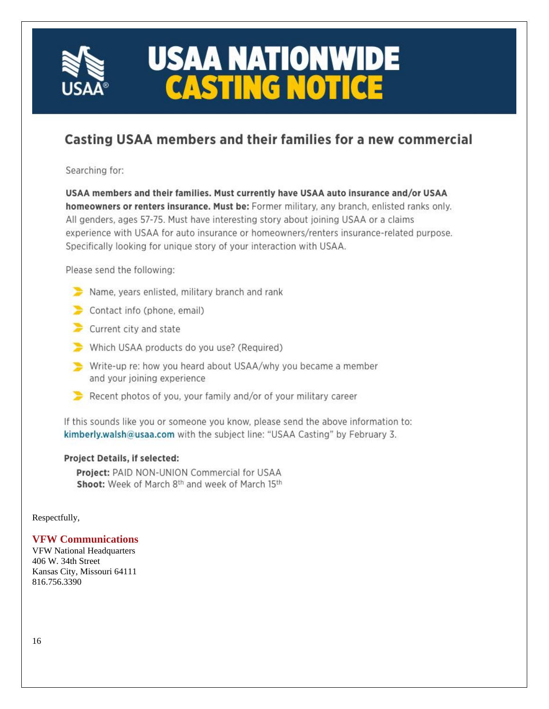

# **USAA NATIONWIDE CASTING NOTICE**

## Casting USAA members and their families for a new commercial

Searching for:

USAA members and their families. Must currently have USAA auto insurance and/or USAA homeowners or renters insurance. Must be: Former military, any branch, enlisted ranks only. All genders, ages 57-75. Must have interesting story about joining USAA or a claims experience with USAA for auto insurance or homeowners/renters insurance-related purpose. Specifically looking for unique story of your interaction with USAA.

Please send the following:

- Name, years enlisted, military branch and rank
- Contact info (phone, email)
- $\blacktriangleright$  Current city and state
- Which USAA products do you use? (Required)
- Write-up re: how you heard about USAA/why you became a member and your joining experience
- Recent photos of you, your family and/or of your military career

If this sounds like you or someone you know, please send the above information to: kimberly.walsh@usaa.com with the subject line: "USAA Casting" by February 3.

#### Project Details, if selected:

Project: PAID NON-UNION Commercial for USAA Shoot: Week of March 8th and week of March 15th

Respectfully,

#### **VFW Communications**

VFW National Headquarters 406 W. 34th Street Kansas City, Missouri 64111 816.756.3390